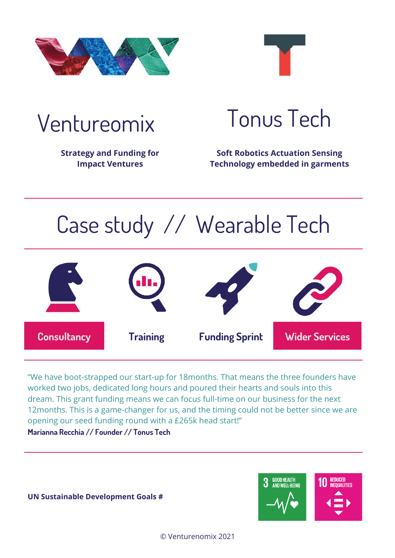



**Strategy and Funding for Impact Ventures** 

## Ventureomix Tonus Tech

**Soft Robotics Actuation Sensing Technology embedded in garments**

# Case study // Wearable Tech



"We have boot-strapped our start-up for 18months. That means the three founders have worked two jobs, dedicated long hours and poured their hearts and souls into this dream. This grant funding means we can focus full-time on our business for the next 12months. This is a game-changer for us, and the timing could not be better since we are opening our seed funding round with a £265k head start!"

**Marianna Recchia // Founder // Tonus Tech**



**UN Sustainable Development Goals #**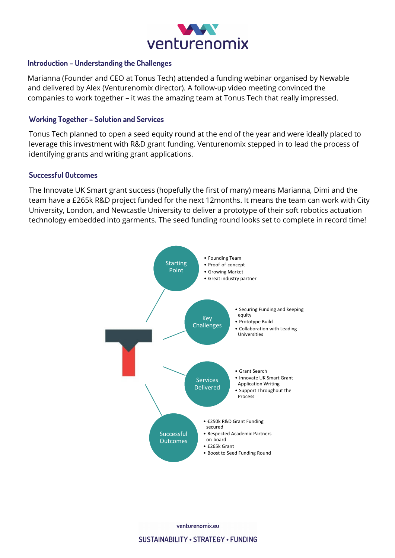

#### **Introduction – Understanding the Challenges**

Marianna (Founder and CEO at Tonus Tech) attended a funding webinar organised by Newable and delivered by Alex (Venturenomix director). A follow-up video meeting convinced the companies to work together – it was the amazing team at Tonus Tech that really impressed.

#### **Working Together – Solution and Services**

Tonus Tech planned to open a seed equity round at the end of the year and were ideally placed to leverage this investment with R&D grant funding. Venturenomix stepped in to lead the process of identifying grants and writing grant applications.

#### **Successful Outcomes**

The Innovate UK Smart grant success (hopefully the first of many) means Marianna, Dimi and the team have a £265k R&D project funded for the next 12months. It means the team can work with City University, London, and Newcastle University to deliver a prototype of their soft robotics actuation technology embedded into garments. The seed funding round looks set to complete in record time!



venturenomix.eu